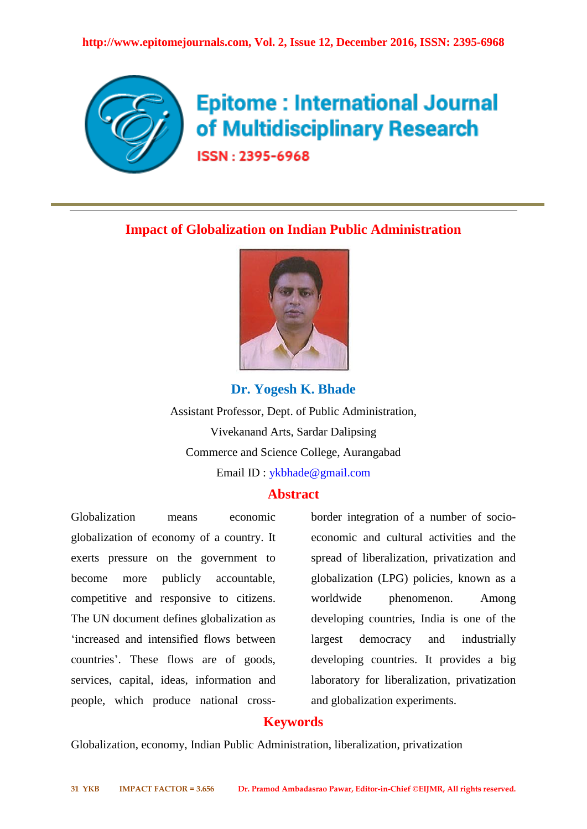

# **Epitome: International Journal** of Multidisciplinary Research

ISSN: 2395-6968

## **Impact of Globalization on Indian Public Administration**



## **Dr. Yogesh K. Bhade**

Assistant Professor, Dept. of Public Administration, Vivekanand Arts, Sardar Dalipsing Commerce and Science College, Aurangabad Email ID : ykbhade@gmail.com

## **Abstract**

Globalization means economic globalization of economy of a country. It exerts pressure on the government to become more publicly accountable, competitive and responsive to citizens. The UN document defines globalization as 'increased and intensified flows between countries'. These flows are of goods, services, capital, ideas, information and people, which produce national crossborder integration of a number of socioeconomic and cultural activities and the spread of liberalization, privatization and globalization (LPG) policies, known as a worldwide phenomenon. Among developing countries, India is one of the largest democracy and industrially developing countries. It provides a big laboratory for liberalization, privatization and globalization experiments.

## **Keywords**

Globalization, economy, Indian Public Administration, liberalization, privatization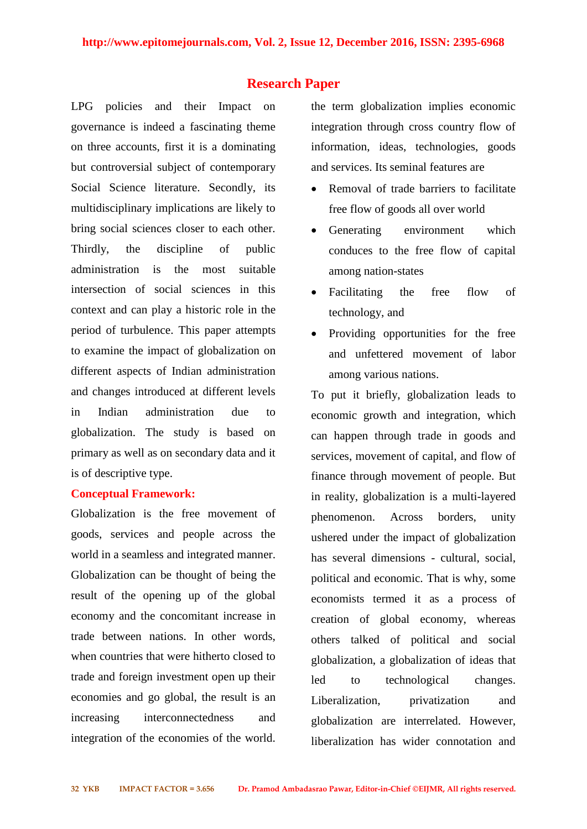## **Research Paper**

LPG policies and their Impact on governance is indeed a fascinating theme on three accounts, first it is a dominating but controversial subject of contemporary Social Science literature. Secondly, its multidisciplinary implications are likely to bring social sciences closer to each other. Thirdly, the discipline of public administration is the most suitable intersection of social sciences in this context and can play a historic role in the period of turbulence. This paper attempts to examine the impact of globalization on different aspects of Indian administration and changes introduced at different levels in Indian administration due to globalization. The study is based on primary as well as on secondary data and it is of descriptive type.

#### **Conceptual Framework:**

Globalization is the free movement of goods, services and people across the world in a seamless and integrated manner. Globalization can be thought of being the result of the opening up of the global economy and the concomitant increase in trade between nations. In other words, when countries that were hitherto closed to trade and foreign investment open up their economies and go global, the result is an increasing interconnectedness and integration of the economies of the world.

the term globalization implies economic integration through cross country flow of information, ideas, technologies, goods and services. Its seminal features are

- Removal of trade barriers to facilitate free flow of goods all over world
- Generating environment which conduces to the free flow of capital among nation-states
- Facilitating the free flow of technology, and
- Providing opportunities for the free and unfettered movement of labor among various nations.

To put it briefly, globalization leads to economic growth and integration, which can happen through trade in goods and services, movement of capital, and flow of finance through movement of people. But in reality, globalization is a multi-layered phenomenon. Across borders, unity ushered under the impact of globalization has several dimensions - cultural, social, political and economic. That is why, some economists termed it as a process of creation of global economy, whereas others talked of political and social globalization, a globalization of ideas that led to technological changes. Liberalization, privatization and globalization are interrelated. However, liberalization has wider connotation and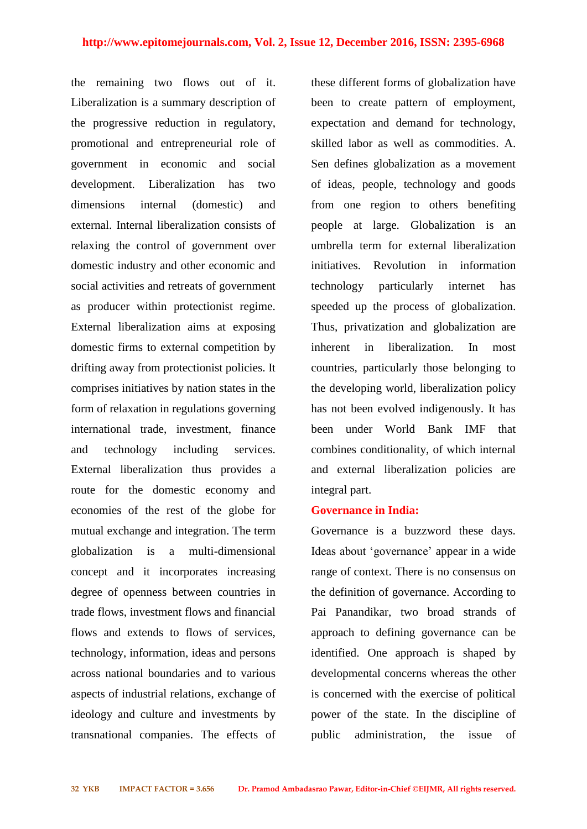the remaining two flows out of it. Liberalization is a summary description of the progressive reduction in regulatory, promotional and entrepreneurial role of government in economic and social development. Liberalization has two dimensions internal (domestic) and external. Internal liberalization consists of relaxing the control of government over domestic industry and other economic and social activities and retreats of government as producer within protectionist regime. External liberalization aims at exposing domestic firms to external competition by drifting away from protectionist policies. It comprises initiatives by nation states in the form of relaxation in regulations governing international trade, investment, finance and technology including services. External liberalization thus provides a route for the domestic economy and economies of the rest of the globe for mutual exchange and integration. The term globalization is a multi-dimensional concept and it incorporates increasing degree of openness between countries in trade flows, investment flows and financial flows and extends to flows of services, technology, information, ideas and persons across national boundaries and to various aspects of industrial relations, exchange of ideology and culture and investments by transnational companies. The effects of these different forms of globalization have been to create pattern of employment, expectation and demand for technology, skilled labor as well as commodities. A. Sen defines globalization as a movement of ideas, people, technology and goods from one region to others benefiting people at large. Globalization is an umbrella term for external liberalization initiatives. Revolution in information technology particularly internet has speeded up the process of globalization. Thus, privatization and globalization are inherent in liberalization. In most countries, particularly those belonging to the developing world, liberalization policy has not been evolved indigenously. It has been under World Bank IMF that combines conditionality, of which internal and external liberalization policies are integral part.

#### **Governance in India:**

Governance is a buzzword these days. Ideas about 'governance' appear in a wide range of context. There is no consensus on the definition of governance. According to Pai Panandikar, two broad strands of approach to defining governance can be identified. One approach is shaped by developmental concerns whereas the other is concerned with the exercise of political power of the state. In the discipline of public administration, the issue of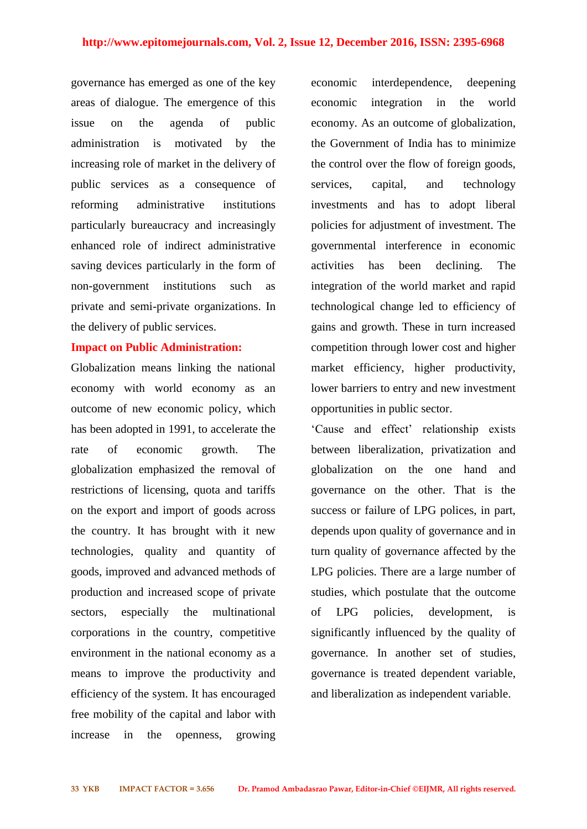governance has emerged as one of the key areas of dialogue. The emergence of this issue on the agenda of public administration is motivated by the increasing role of market in the delivery of public services as a consequence of reforming administrative institutions particularly bureaucracy and increasingly enhanced role of indirect administrative saving devices particularly in the form of non-government institutions such as private and semi-private organizations. In the delivery of public services.

#### **Impact on Public Administration:**

Globalization means linking the national economy with world economy as an outcome of new economic policy, which has been adopted in 1991, to accelerate the rate of economic growth. The globalization emphasized the removal of restrictions of licensing, quota and tariffs on the export and import of goods across the country. It has brought with it new technologies, quality and quantity of goods, improved and advanced methods of production and increased scope of private sectors, especially the multinational corporations in the country, competitive environment in the national economy as a means to improve the productivity and efficiency of the system. It has encouraged free mobility of the capital and labor with increase in the openness, growing

economic interdependence, deepening economic integration in the world economy. As an outcome of globalization, the Government of India has to minimize the control over the flow of foreign goods, services, capital, and technology investments and has to adopt liberal policies for adjustment of investment. The governmental interference in economic activities has been declining. The integration of the world market and rapid technological change led to efficiency of gains and growth. These in turn increased competition through lower cost and higher market efficiency, higher productivity, lower barriers to entry and new investment opportunities in public sector.

'Cause and effect' relationship exists between liberalization, privatization and globalization on the one hand and governance on the other. That is the success or failure of LPG polices, in part, depends upon quality of governance and in turn quality of governance affected by the LPG policies. There are a large number of studies, which postulate that the outcome of LPG policies, development, is significantly influenced by the quality of governance. In another set of studies, governance is treated dependent variable, and liberalization as independent variable.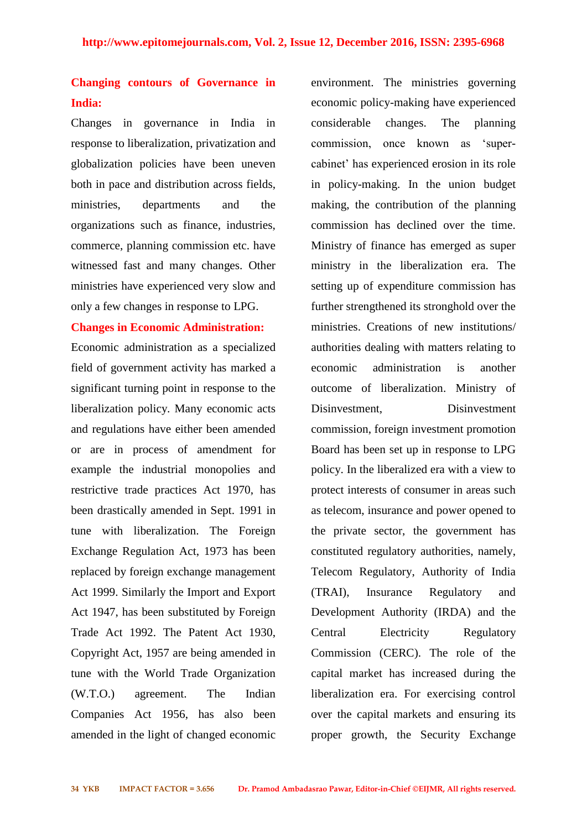# **Changing contours of Governance in India:**

Changes in governance in India in response to liberalization, privatization and globalization policies have been uneven both in pace and distribution across fields, ministries, departments and the organizations such as finance, industries, commerce, planning commission etc. have witnessed fast and many changes. Other ministries have experienced very slow and only a few changes in response to LPG.

#### **Changes in Economic Administration:**

Economic administration as a specialized field of government activity has marked a significant turning point in response to the liberalization policy. Many economic acts and regulations have either been amended or are in process of amendment for example the industrial monopolies and restrictive trade practices Act 1970, has been drastically amended in Sept. 1991 in tune with liberalization. The Foreign Exchange Regulation Act, 1973 has been replaced by foreign exchange management Act 1999. Similarly the Import and Export Act 1947, has been substituted by Foreign Trade Act 1992. The Patent Act 1930, Copyright Act, 1957 are being amended in tune with the World Trade Organization (W.T.O.) agreement. The Indian Companies Act 1956, has also been amended in the light of changed economic

environment. The ministries governing economic policy-making have experienced considerable changes. The planning commission, once known as 'supercabinet' has experienced erosion in its role in policy-making. In the union budget making, the contribution of the planning commission has declined over the time. Ministry of finance has emerged as super ministry in the liberalization era. The setting up of expenditure commission has further strengthened its stronghold over the ministries. Creations of new institutions/ authorities dealing with matters relating to economic administration is another outcome of liberalization. Ministry of Disinvestment, Disinvestment commission, foreign investment promotion Board has been set up in response to LPG policy. In the liberalized era with a view to protect interests of consumer in areas such as telecom, insurance and power opened to the private sector, the government has constituted regulatory authorities, namely, Telecom Regulatory, Authority of India (TRAI), Insurance Regulatory and Development Authority (IRDA) and the Central Electricity Regulatory Commission (CERC). The role of the capital market has increased during the liberalization era. For exercising control over the capital markets and ensuring its proper growth, the Security Exchange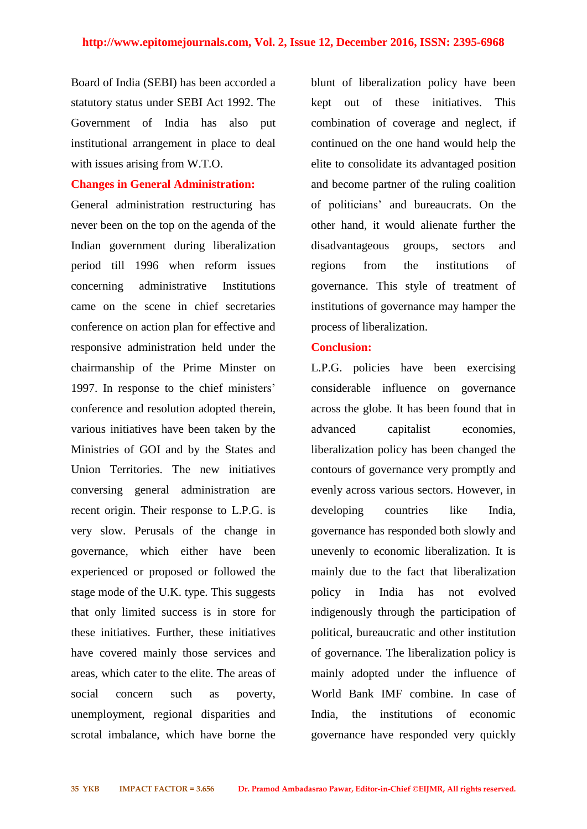Board of India (SEBI) has been accorded a statutory status under SEBI Act 1992. The Government of India has also put institutional arrangement in place to deal with issues arising from W.T.O.

#### **Changes in General Administration:**

General administration restructuring has never been on the top on the agenda of the Indian government during liberalization period till 1996 when reform issues concerning administrative Institutions came on the scene in chief secretaries conference on action plan for effective and responsive administration held under the chairmanship of the Prime Minster on 1997. In response to the chief ministers' conference and resolution adopted therein, various initiatives have been taken by the Ministries of GOI and by the States and Union Territories. The new initiatives conversing general administration are recent origin. Their response to L.P.G. is very slow. Perusals of the change in governance, which either have been experienced or proposed or followed the stage mode of the U.K. type. This suggests that only limited success is in store for these initiatives. Further, these initiatives have covered mainly those services and areas, which cater to the elite. The areas of social concern such as poverty, unemployment, regional disparities and scrotal imbalance, which have borne the

blunt of liberalization policy have been kept out of these initiatives. This combination of coverage and neglect, if continued on the one hand would help the elite to consolidate its advantaged position and become partner of the ruling coalition of politicians' and bureaucrats. On the other hand, it would alienate further the disadvantageous groups, sectors and regions from the institutions of governance. This style of treatment of institutions of governance may hamper the process of liberalization.

#### **Conclusion:**

L.P.G. policies have been exercising considerable influence on governance across the globe. It has been found that in advanced capitalist economies, liberalization policy has been changed the contours of governance very promptly and evenly across various sectors. However, in developing countries like India, governance has responded both slowly and unevenly to economic liberalization. It is mainly due to the fact that liberalization policy in India has not evolved indigenously through the participation of political, bureaucratic and other institution of governance. The liberalization policy is mainly adopted under the influence of World Bank IMF combine. In case of India, the institutions of economic governance have responded very quickly